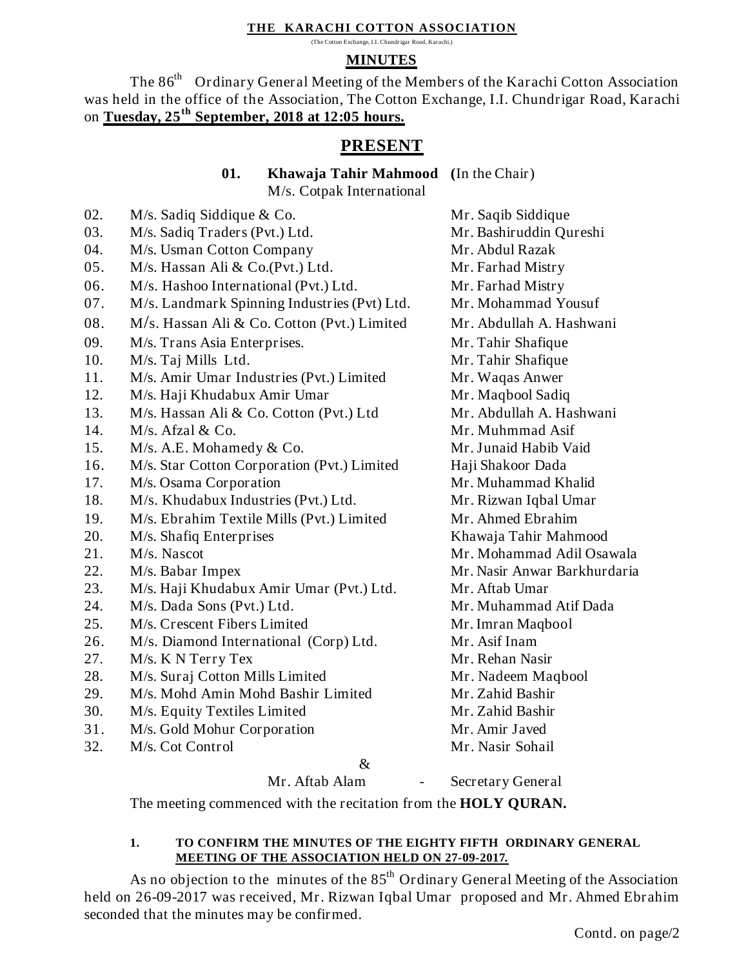#### **THE KARACHI COTTON ASSOCIATION**

(The Cotton Exchange, I.I. Chundrigar Road, Karachi.)

## **MINUTES**

The 86<sup>th</sup> Ordinary General Meeting of the Members of the Karachi Cotton Association was held in the office of the Association, The Cotton Exchange, I.I. Chundrigar Road, Karachi on **Tuesday, 25 th September, 2018 at 12:05 hours.** 

# **PRESENT**

**01. Khawaja Tahir Mahmood (**In the Chair)

M/s. Cotpak International

02. M/s. Sadiq Siddique & Co. Mr. Saqib Siddique 03. M/s. Sadiq Traders (Pvt.) Ltd. Mr. Bashiruddin Qureshi 04. M/s. Usman Cotton Company Mr. Abdul Razak 05. M/s. Hassan Ali & Co.(Pvt.) Ltd. Mr. Farhad Mistry 06. M/s. Hashoo International (Pvt.) Ltd. Mr. Farhad Mistry 07. M/s. Landmark Spinning Industries (Pvt) Ltd. Mr. Mohammad Yousuf 08. M/s. Hassan Ali & Co. Cotton (Pvt.) Limited Mr. Abdullah A. Hashwani 09. M/s. Trans Asia Enterprises. Mr. Tahir Shafique 10. M/s. Taj Mills Ltd. Mr. Tahir Shafique 11. M/s. Amir Umar Industries (Pvt.) Limited Mr. Waqas Anwer 12. M/s. Haji Khudabux Amir Umar Mr. Maqbool Sadiq 13. M/s. Hassan Ali & Co. Cotton (Pvt.) Ltd Mr. Abdullah A. Hashwani 14. M/s. Afzal & Co. Mr. Muhmmad Asif 15. M/s. A.E. Mohamedy & Co. Mr. Junaid Habib Vaid 16. M/s. Star Cotton Corporation (Pvt.) Limited Haji Shakoor Dada 17. M/s. Osama Corporation Mr. Muhammad Khalid 18. M/s. Khudabux Industries (Pvt.) Ltd. Mr. Rizwan Iqbal Umar 19. M/s. Ebrahim Textile Mills (Pvt.) Limited Mr. Ahmed Ebrahim 20. M/s. Shafiq Enterprises Khawaja Tahir Mahmood 21. M/s. Nascot Mr. Mohammad Adil Osawala 22. M/s. Babar Impex Mr. Nasir Anwar Barkhurdaria 23. M/s. Haji Khudabux Amir Umar (Pvt.) Ltd. Mr. Aftab Umar 24. M/s. Dada Sons (Pvt.) Ltd. Mr. Muhammad Atif Dada 25. M/s. Crescent Fibers Limited Mr. Imran Maqbool 26. M/s. Diamond International (Corp) Ltd. Mr. Asif Inam 27. M/s. K N Terry Tex Mr. Rehan Nasir 28. M/s. Suraj Cotton Mills Limited Mr. Nadeem Maqbool 29. M/s. Mohd Amin Mohd Bashir Limited Mr. Zahid Bashir 30. M/s. Equity Textiles Limited Mr. Zahid Bashir 31. M/s. Gold Mohur Corporation Mr. Amir Javed 32. M/s. Cot Control Mr. Nasir Sohail &

Mr. Aftab Alam - Secretary General

The meeting commenced with the recitation from the **HOLY QURAN.**

## **1. TO CONFIRM THE MINUTES OF THE EIGHTY FIFTH ORDINARY GENERAL MEETING OF THE ASSOCIATION HELD ON 27-09-2017.**

As no objection to the minutes of the  $85<sup>th</sup>$  Ordinary General Meeting of the Association held on 26-09-2017 was received, Mr. Rizwan Iqbal Umar proposed and Mr. Ahmed Ebrahim seconded that the minutes may be confirmed.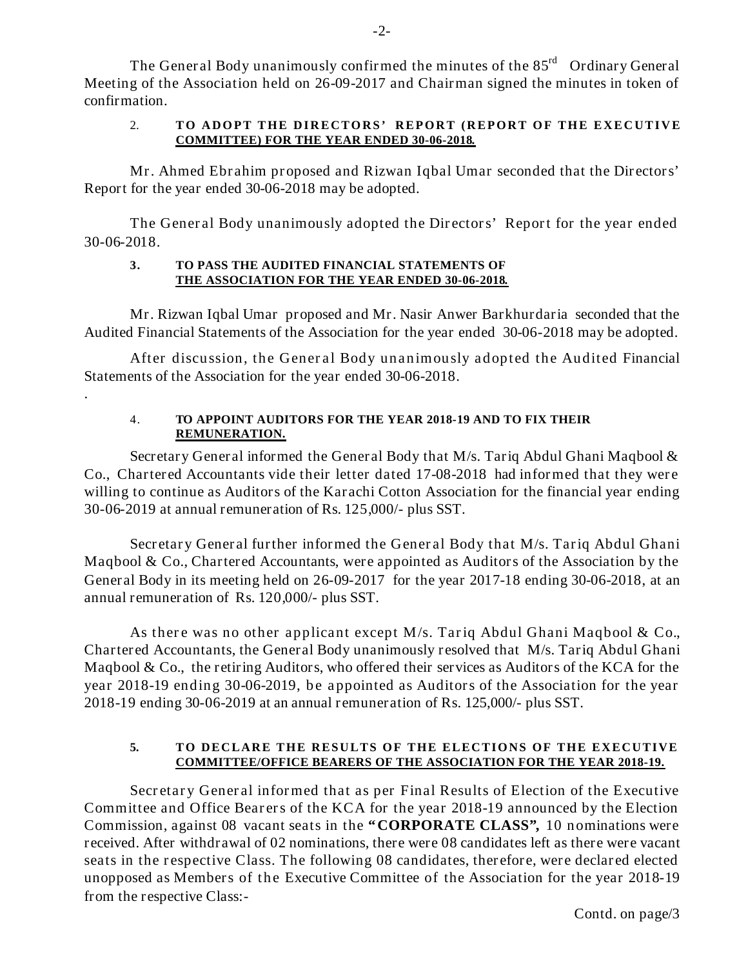The General Body unanimously confirmed the minutes of the  $85<sup>rd</sup>$  Ordinary General Meeting of the Association held on 26-09-2017 and Chairman signed the minutes in token of confirmation.

#### 2. **TO ADOPT THE DIRECTORS' REPORT (REPORT OF THE EXECUTIVE COMMITTEE) FOR THE YEAR ENDED 30-06-2018.**

Mr. Ahmed Ebrahim proposed and Rizwan Iqbal Umar seconded that the Directors' Report for the year ended 30-06-2018 may be adopted.

The General Body unanimously adopted the Directors' Report for the year ended 30-06-2018.

#### **3. TO PASS THE AUDITED FINANCIAL STATEMENTS OF THE ASSOCIATION FOR THE YEAR ENDED 30-06-2018.**

Mr. Rizwan Iqbal Umar proposed and Mr. Nasir Anwer Barkhurdaria seconded that the Audited Financial Statements of the Association for the year ended 30-06-2018 may be adopted.

After discussion, the General Body unanimously adopted the Audited Financial Statements of the Association for the year ended 30-06-2018.

.

## 4. **TO APPOINT AUDITORS FOR THE YEAR 2018-19 AND TO FIX THEIR REMUNERATION.**

Secretary General informed the General Body that M/s. Tariq Abdul Ghani Maqbool & Co., Chartered Accountants vide their letter dated 17-08-2018 had informed that they were willing to continue as Auditors of the Karachi Cotton Association for the financial year ending 30-06-2019 at annual remuneration of Rs. 125,000/- plus SST.

Secretary General further informed the General Body that M/s. Tariq Abdul Ghani Maqbool & Co., Chartered Accountants, were appointed as Auditors of the Association by the General Body in its meeting held on 26-09-2017 for the year 2017-18 ending 30-06-2018, at an annual remuneration of Rs. 120,000/- plus SST.

As there was no other applicant except M/s. Tariq Abdul Ghani Maqbool & Co., Chartered Accountants, the General Body unanimously resolved that M/s. Tariq Abdul Ghani Maqbool & Co., the retiring Auditors, who offered their services as Auditors of the KCA for the year 2018-19 ending 30-06-2019, be appointed as Auditors of the Association for the year 2018-19 ending 30-06-2019 at an annual remuneration of Rs. 125,000/- plus SST.

### **5. TO DECLARE THE RESULTS OF THE ELECTIONS OF THE EXECUTIVE COMMITTEE/OFFICE BEARERS OF THE ASSOCIATION FOR THE YEAR 2018-19.**

Secretary General informed that as per Final Results of Election of the Executive Committee and Office Bearers of the KCA for the year 2018-19 announced by the Election Commission, against 08 vacant seats in the **"CORPORATE CLASS",** 10 nominations were received. After withdrawal of 02 nominations, there were 08 candidates left as there were vacant seats in the respective Class. The following 08 candidates, therefore, were declared elected unopposed as Members of the Executive Committee of the Association for the year 2018-19 from the respective Class:-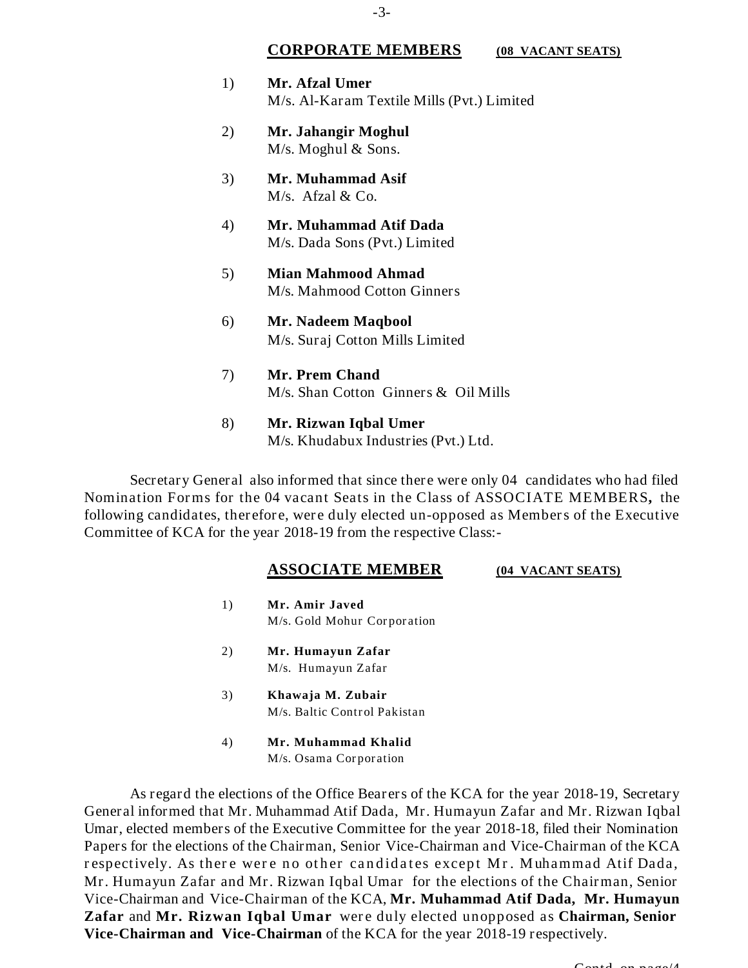#### **CORPORATE MEMBERS (08 VACANT SEATS)**

- 1) **Mr. Afzal Umer** M/s. Al-Karam Textile Mills (Pvt.) Limited
- 2) **Mr. Jahangir Moghul** M/s. Moghul & Sons.
- 3) **Mr. Muhammad Asif** M/s. Afzal & Co.
- 4) **Mr. Muhammad Atif Dada** M/s. Dada Sons (Pvt.) Limited
- 5) **Mian Mahmood Ahmad** M/s. Mahmood Cotton Ginners
- 6) **Mr. Nadeem Maqbool** M/s. Suraj Cotton Mills Limited
- 7) **Mr. Prem Chand** M/s. Shan Cotton Ginners & Oil Mills
- 8) **Mr. Rizwan Iqbal Umer** M/s. Khudabux Industries (Pvt.) Ltd.

Secretary General also informed that since there were only 04 candidates who had filed Nomination Forms for the 04 vacant Seats in the Class of ASSOCIATE MEMBERS**,** the following candidates, therefore, were duly elected un-opposed as Members of the Executive Committee of KCA for the year 2018-19 from the respective Class:-

#### **ASSOCIATE MEMBER (04 VACANT SEATS)**

- 1) **Mr. Amir Javed** M/s. Gold Mohur Corporation
- 2) **Mr. Humayun Zafar** M/s. Humayun Zafar
- 3) **Khawaja M. Zubair** M/s. Baltic Control Pakistan
- 4) **Mr. Muhammad Khalid** M/s. Osama Corporation

As regard the elections of the Office Bearers of the KCA for the year 2018-19, Secretary General informed that Mr. Muhammad Atif Dada, Mr. Humayun Zafar and Mr. Rizwan Iqbal Umar, elected members of the Executive Committee for the year 2018-18, filed their Nomination Papers for the elections of the Chairman, Senior Vice-Chairman and Vice-Chairman of the KCA respectively. As there were no other candidates except Mr. Muhammad Atif Dada, Mr. Humayun Zafar and Mr. Rizwan Iqbal Umar for the elections of the Chairman, Senior Vice-Chairman and Vice-Chairman of the KCA, **Mr. Muhammad Atif Dada, Mr. Humayun Zafar** and **Mr. Rizwan Iqbal Umar** were duly elected unopposed as **Chairman, Senior Vice-Chairman and Vice-Chairman** of the KCA for the year 2018-19 respectively.

 $C$ ontd. on page/4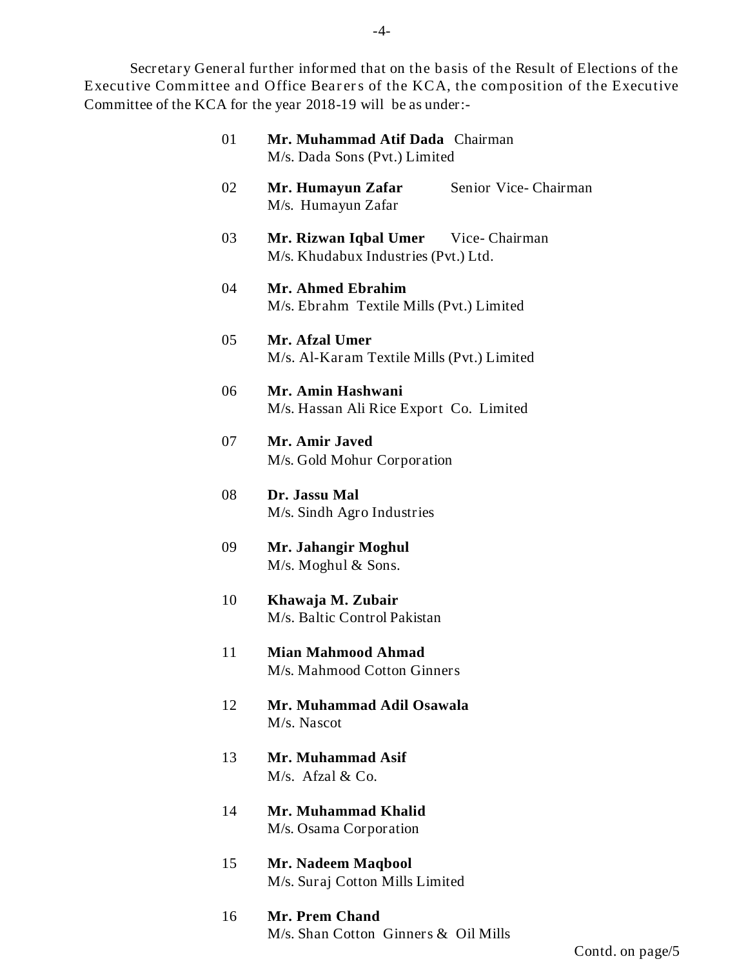Secretary General further informed that on the basis of the Result of Elections of the Executive Committee and Office Bearers of the KCA, the composition of the Executive Committee of the KCA for the year 2018-19 will be as under:-

| 01 | Mr. Muhammad Atif Dada Chairman<br>M/s. Dada Sons (Pvt.) Limited            |
|----|-----------------------------------------------------------------------------|
| 02 | Mr. Humayun Zafar<br>Senior Vice-Chairman<br>M/s. Humayun Zafar             |
| 03 | Mr. Rizwan Iqbal Umer Vice-Chairman<br>M/s. Khudabux Industries (Pvt.) Ltd. |
| 04 | Mr. Ahmed Ebrahim<br>M/s. Ebrahm Textile Mills (Pvt.) Limited               |
| 05 | Mr. Afzal Umer<br>M/s. Al-Karam Textile Mills (Pvt.) Limited                |
| 06 | Mr. Amin Hashwani<br>M/s. Hassan Ali Rice Export Co. Limited                |
| 07 | Mr. Amir Javed<br>M/s. Gold Mohur Corporation                               |
| 08 | Dr. Jassu Mal<br>M/s. Sindh Agro Industries                                 |
| 09 | Mr. Jahangir Moghul<br>$M/s$ . Moghul & Sons.                               |
| 10 | Khawaja M. Zubair<br>M/s. Baltic Control Pakistan                           |
| 11 | <b>Mian Mahmood Ahmad</b><br>M/s. Mahmood Cotton Ginners                    |
| 12 | Mr. Muhammad Adil Osawala<br>M/s. Nascot                                    |
| 13 | Mr. Muhammad Asif<br>$M/s$ . Afzal & Co.                                    |
| 14 | Mr. Muhammad Khalid<br>M/s. Osama Corporation                               |
| 15 | Mr. Nadeem Maqbool<br>M/s. Suraj Cotton Mills Limited                       |
|    |                                                                             |

16 **Mr. Prem Chand** M/s. Shan Cotton Ginners & Oil Mills

Contd. on page/5